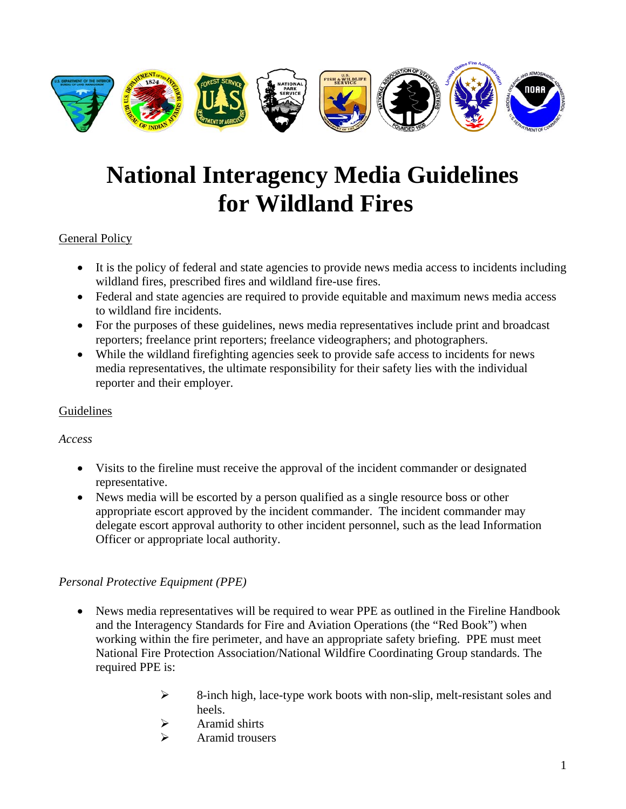

# **National Interagency Media Guidelines for Wildland Fires**

#### General Policy

- It is the policy of federal and state agencies to provide news media access to incidents including wildland fires, prescribed fires and wildland fire-use fires.
- Federal and state agencies are required to provide equitable and maximum news media access to wildland fire incidents.
- For the purposes of these guidelines, news media representatives include print and broadcast reporters; freelance print reporters; freelance videographers; and photographers.
- While the wildland firefighting agencies seek to provide safe access to incidents for news media representatives, the ultimate responsibility for their safety lies with the individual reporter and their employer.

#### Guidelines

#### *Access*

- Visits to the fireline must receive the approval of the incident commander or designated representative.
- News media will be escorted by a person qualified as a single resource boss or other appropriate escort approved by the incident commander. The incident commander may delegate escort approval authority to other incident personnel, such as the lead Information Officer or appropriate local authority.

# *Personal Protective Equipment (PPE)*

- News media representatives will be required to wear PPE as outlined in the Fireline Handbook and the Interagency Standards for Fire and Aviation Operations (the "Red Book") when working within the fire perimeter, and have an appropriate safety briefing. PPE must meet National Fire Protection Association/National Wildfire Coordinating Group standards. The required PPE is:
	- ¾ 8-inch high, lace-type work boots with non-slip, melt-resistant soles and heels.
	- $\triangleright$  Aramid shirts
	- $\triangleright$  Aramid trousers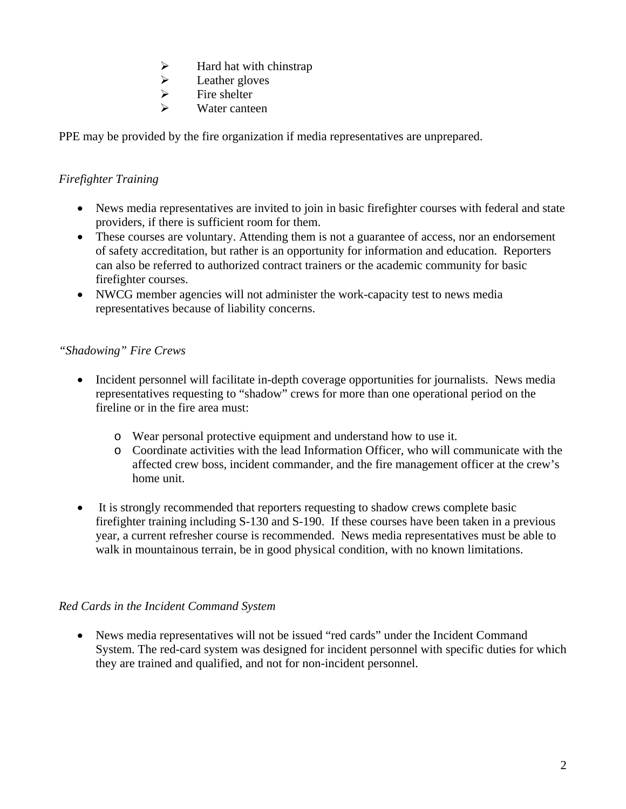- → Hard hat with chinstrap<br>
→ Leather gloves<br>
→ Fire shelter
- Leather gloves
- Fire shelter
- Water canteen

PPE may be provided by the fire organization if media representatives are unprepared.

# *Firefighter Training*

- News media representatives are invited to join in basic firefighter courses with federal and state providers, if there is sufficient room for them.
- These courses are voluntary. Attending them is not a guarantee of access, nor an endorsement of safety accreditation, but rather is an opportunity for information and education. Reporters can also be referred to authorized contract trainers or the academic community for basic firefighter courses.
- NWCG member agencies will not administer the work-capacity test to news media representatives because of liability concerns.

# *"Shadowing" Fire Crews*

- Incident personnel will facilitate in-depth coverage opportunities for journalists. News media representatives requesting to "shadow" crews for more than one operational period on the fireline or in the fire area must:
	- o Wear personal protective equipment and understand how to use it.
	- o Coordinate activities with the lead Information Officer, who will communicate with the affected crew boss, incident commander, and the fire management officer at the crew's home unit.
- It is strongly recommended that reporters requesting to shadow crews complete basic firefighter training including S-130 and S-190. If these courses have been taken in a previous year, a current refresher course is recommended. News media representatives must be able to walk in mountainous terrain, be in good physical condition, with no known limitations.

#### *Red Cards in the Incident Command System*

• News media representatives will not be issued "red cards" under the Incident Command System. The red-card system was designed for incident personnel with specific duties for which they are trained and qualified, and not for non-incident personnel.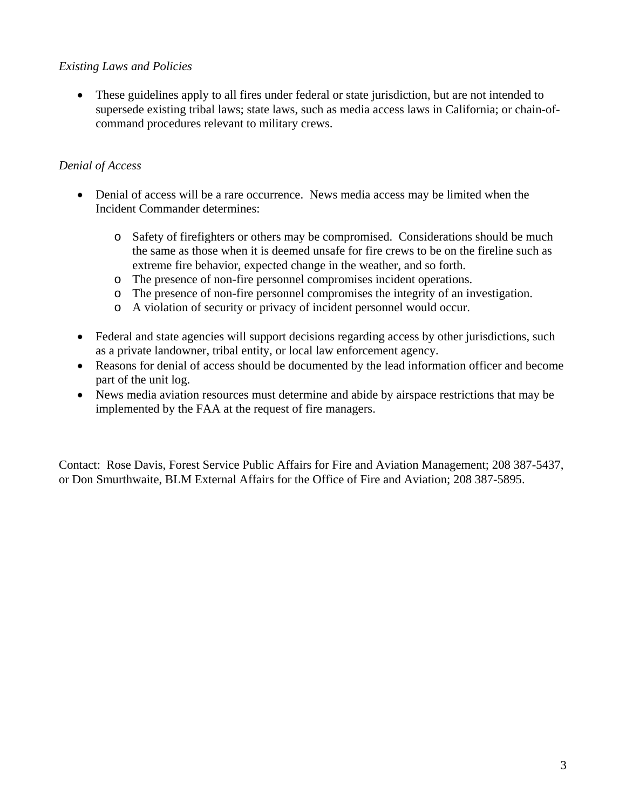#### *Existing Laws and Policies*

• These guidelines apply to all fires under federal or state jurisdiction, but are not intended to supersede existing tribal laws; state laws, such as media access laws in California; or chain-ofcommand procedures relevant to military crews.

# *Denial of Access*

- Denial of access will be a rare occurrence. News media access may be limited when the Incident Commander determines:
	- o Safety of firefighters or others may be compromised. Considerations should be much the same as those when it is deemed unsafe for fire crews to be on the fireline such as extreme fire behavior, expected change in the weather, and so forth.
	- o The presence of non-fire personnel compromises incident operations.
	- o The presence of non-fire personnel compromises the integrity of an investigation.
	- o A violation of security or privacy of incident personnel would occur.
- Federal and state agencies will support decisions regarding access by other jurisdictions, such as a private landowner, tribal entity, or local law enforcement agency.
- Reasons for denial of access should be documented by the lead information officer and become part of the unit log.
- News media aviation resources must determine and abide by airspace restrictions that may be implemented by the FAA at the request of fire managers.

Contact: Rose Davis, Forest Service Public Affairs for Fire and Aviation Management; 208 387-5437, or Don Smurthwaite, BLM External Affairs for the Office of Fire and Aviation; 208 387-5895.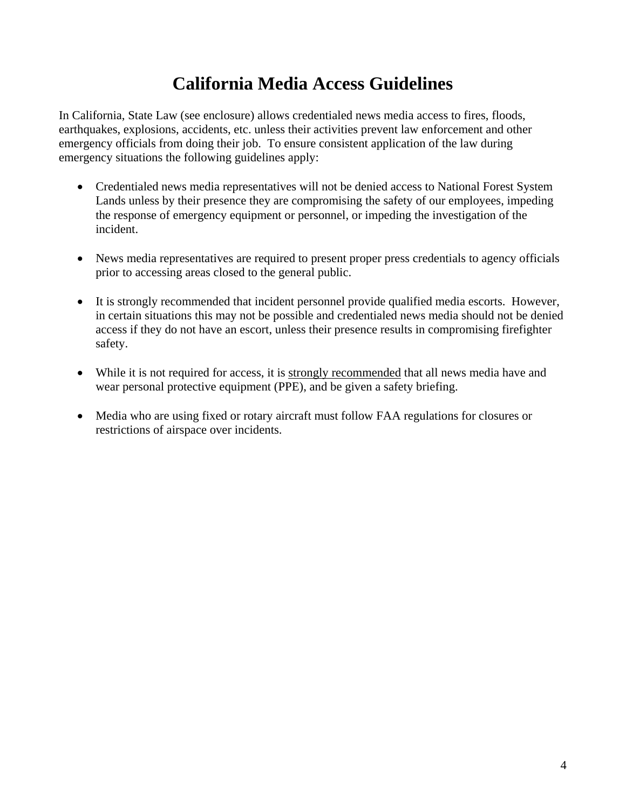# **California Media Access Guidelines**

In California, State Law (see enclosure) allows credentialed news media access to fires, floods, earthquakes, explosions, accidents, etc. unless their activities prevent law enforcement and other emergency officials from doing their job. To ensure consistent application of the law during emergency situations the following guidelines apply:

- Credentialed news media representatives will not be denied access to National Forest System Lands unless by their presence they are compromising the safety of our employees, impeding the response of emergency equipment or personnel, or impeding the investigation of the incident.
- News media representatives are required to present proper press credentials to agency officials prior to accessing areas closed to the general public.
- It is strongly recommended that incident personnel provide qualified media escorts. However, in certain situations this may not be possible and credentialed news media should not be denied access if they do not have an escort, unless their presence results in compromising firefighter safety.
- While it is not required for access, it is strongly recommended that all news media have and wear personal protective equipment (PPE), and be given a safety briefing.
- Media who are using fixed or rotary aircraft must follow FAA regulations for closures or restrictions of airspace over incidents.